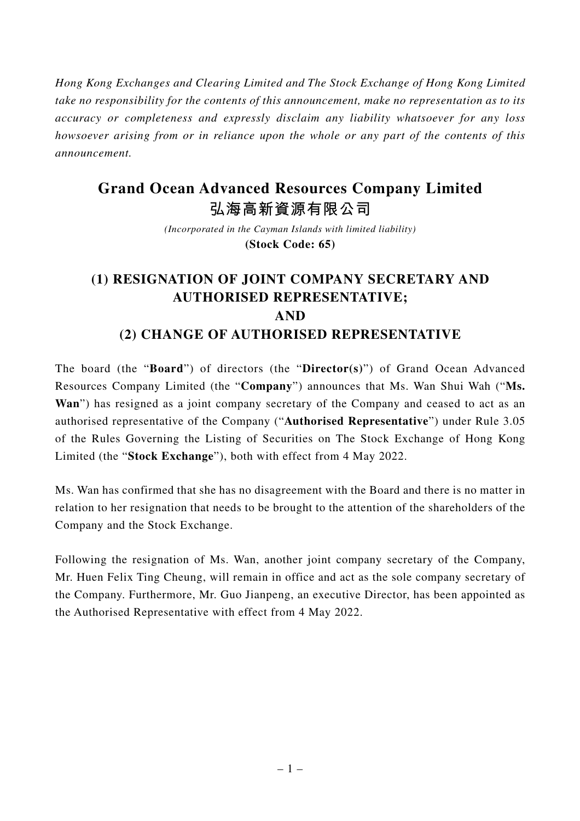*Hong Kong Exchanges and Clearing Limited and The Stock Exchange of Hong Kong Limited take no responsibility for the contents of this announcement, make no representation as to its accuracy or completeness and expressly disclaim any liability whatsoever for any loss howsoever arising from or in reliance upon the whole or any part of the contents of this announcement.*

## **Grand Ocean Advanced Resources Company Limited**

**弘海高新資源有限公司**

*(Incorporated in the Cayman Islands with limited liability)* **(Stock Code: 65)**

## **(1) RESIGNATION OF JOINT COMPANY SECRETARY AND AUTHORISED REPRESENTATIVE; AND (2) CHANGE OF AUTHORISED REPRESENTATIVE**

The board (the "**Board**") of directors (the "**Director(s)**") of Grand Ocean Advanced Resources Company Limited (the "**Company**") announces that Ms. Wan Shui Wah ("**Ms. Wan**") has resigned as a joint company secretary of the Company and ceased to act as an authorised representative of the Company ("**Authorised Representative**") under Rule 3.05 of the Rules Governing the Listing of Securities on The Stock Exchange of Hong Kong Limited (the "**Stock Exchange**"), both with effect from 4 May 2022.

Ms. Wan has confirmed that she has no disagreement with the Board and there is no matter in relation to her resignation that needs to be brought to the attention of the shareholders of the Company and the Stock Exchange.

Following the resignation of Ms. Wan, another joint company secretary of the Company, Mr. Huen Felix Ting Cheung, will remain in office and act as the sole company secretary of the Company. Furthermore, Mr. Guo Jianpeng, an executive Director, has been appointed as the Authorised Representative with effect from 4 May 2022.